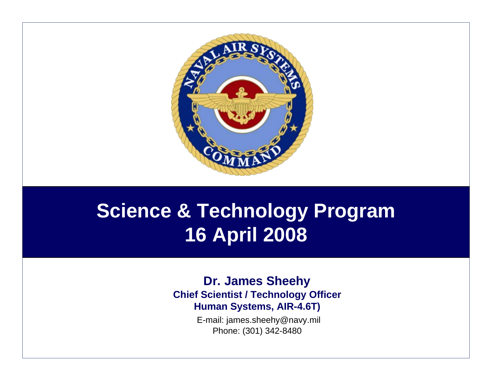

# **Science & Technology Program 16 April 2008**

### **Dr. James Sheehy Chief Scientist / Technology Officer Human Systems, AIR-4.6T)**

E-mail: james.sheehy@navy.mil Phone: (301) 342-8480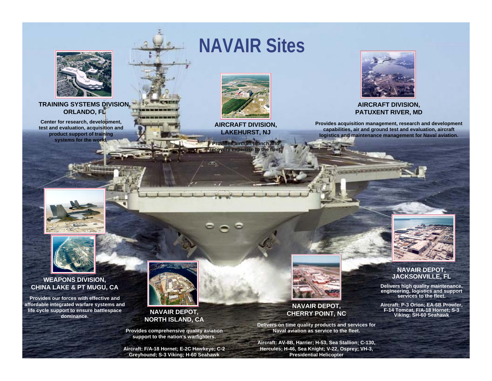

### **TRAINING SYSTEMS DIVISION, ORLANDO, FL**

**Center for research, development, test and evaluation, acquisition and product support of training systems for the world.**

## **NAVAIR Sites**



**AIRCRAFT DIVISION, LAKEHURST, NJ**

**Provides aircraft launch and recovery expertise to the fleet. recovery expertise the fleet**



### **AIRCRAFT DIVISION, PATUXENT RIVER, MD**

**Provides acquisition management, research and development capabilities, air and ground test and evaluation, aircraft logistics and maintenance management for Naval aviation.**





### **WEAPONS DIVISION, CHINA LAKE & PT MUGU, CA**

**Provides our forces with effective and affordable integrated warfare systems and life cycle support to ensure battlespace dominance.**



**NAVAIR DEPOT, NORTH ISLAND, CA**

**Provides comprehensive quality aviation support to the nation's warfighters.**

**Aircraft: F/A-18 Hornet; E-2C Hawkeye; C-2 Greyhound; S-3 Viking; H-60 Seahawk**



### **NAVAIR DEPOT, CHERRY POINT, NC**

**Delivers on time quality products and services for Naval aviation as service to the fleet.**

**Aircraft: AV-8B, Harrier; H-53, Sea Stallion; C-130, Hercules; H-46, Sea Knight; V-22, Osprey; VH-3, Presidential Helicopter**



#### **NAVAIR DEPOT, JACKSONVILLE, FL**

**Delivers high quality maintenance, engineering, logistics and support services to the fleet.**

**Aircraft: P-3 Orion; EA-6B Prowler, F-14 Tomcat, F/A-18 Hornet; S-3 Viking; SH-60 Seahawk**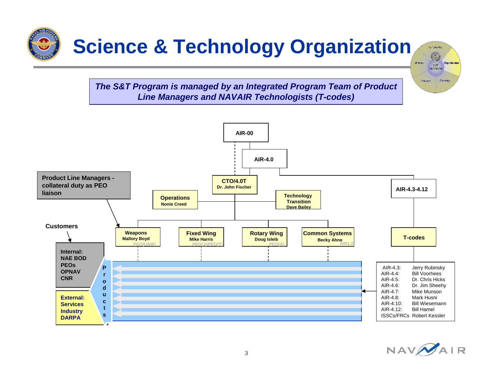

*The S&T Program is managed by an Integrated Program Team of Product Line Managers and NAVAIR Technologists (T-codes)*





zm.  $14.9636$ 

**Chase**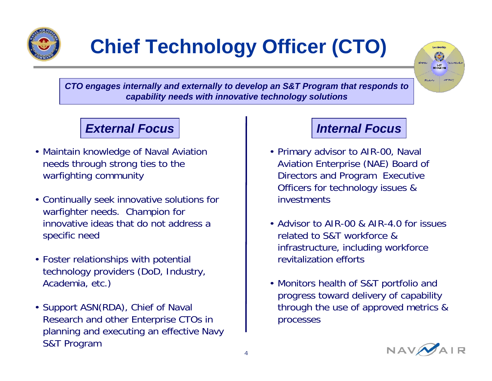

# **Chief Technology Officer (CTO)**



*CTO engages internally and externally to develop an S&T Program that responds to capability needs with innovative technology solutions*

### *External Focus*

- Maintain knowledge of Naval Aviation needs through strong ties to the warfighting community
- Continually seek innovative solutions for warfighter needs. Champion for innovative ideas that do not address a specific need
- Foster relationships with potential technology providers (DoD, Industry, Academia, etc.)
- Support ASN(RDA), Chief of Naval Research and other Enterprise CTOs in planning and executing an effective Navy S&T Program

## *Internal Focus*

- Primary advisor to AIR-00, Naval Aviation Enterprise (NAE) Board of Directors and Program Executive Officers for technology issues & investments
- Advisor to AIR-00 & AIR-4.0 for issues related to S&T workforce & infrastructure, including workforce revitalization efforts
- Monitors health of S&T portfolio and progress toward delivery of capability through the use of approved metrics & processes

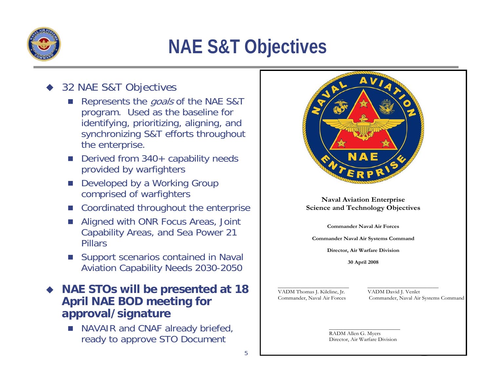

# **NAE S&T Objectives**

#### $\blacklozenge$ 32 NAE S&T Objectives

- n. Represents the goals of the NAE S&T program. Used as the baseline for identifying, prioritizing, aligning, and synchronizing S&T efforts throughout the enterprise.
- Derived from 340+ capability needs provided by warfighters
- $\mathcal{L}_{\mathcal{A}}$  Developed by a Working Group comprised of warfighters
- $\mathcal{L}_{\mathcal{A}}$ Coordinated throughout the enterprise
- r. Aligned with ONR Focus Areas, Joint Capability Areas, and Sea Power 21 Pillars
- T. Support scenarios contained in Naval Aviation Capability Needs 2030-2050

### $\blacklozenge$  **NAE STOs will be presented at 18 April NAE BOD meeting for approval/signature**

 $\mathcal{L}_{\mathcal{A}}$  NAVAIR and CNAF already briefed, ready to approve STO Document



### **Naval Aviation Enterprise Science and Technology Objectives**

**Commander Naval Air Forces** 

**Commander Naval Air Systems Command** 

**Director, Air Warfare Division** 

**30 April 2008** 

VADM Thomas J. Kilcline, Jr. VADM David J. Venlet

Commander, Naval Air Forces Commander, Naval Air Systems Command

RADM Allen G. Myers Director, Air Warfare Division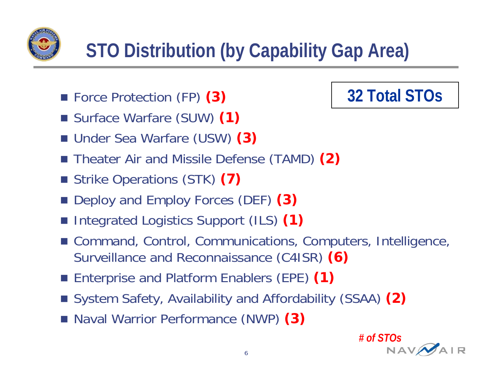

- Force Protection (FP) **(3)**
- Surface Warfare (SUW) **(1)**
- Under Sea Warfare (USW) **(3)**
- Theater Air and Missile Defense (TAMD) (2)
- Strike Operations (STK) **(7)**
- Deploy and Employ Forces (DEF) (3)
- F Integrated Logistics Support (ILS) **(1)**
- Command, Control, Communications, Computers, Intelligence, Surveillance and Reconnaissance (C4ISR) **(6)**
- Enterprise and Platform Enablers (EPE) (1)
- System Safety, Availability and Affordability (SSAA) (2)
- Naval Warrior Performance (NWP) (3)



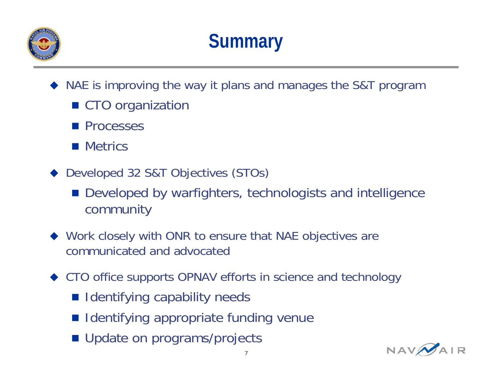

- ♦ NAE is improving the way it plans and manages the S&T program
	- CTO organization
	- **Processes**
	- **Metrics**
- ◆ Developed 32 S&T Objectives (STOs)
	- **Developed by warfighters, technologists and intelligence** community
- ◆ Work closely with ONR to ensure that NAE objectives are communicated and advocated
- ◆ CTO office supports OPNAV efforts in science and technology
	- **Indentifying capability needs**
	- **Indentifying appropriate funding venue**
	- Update on programs/projects